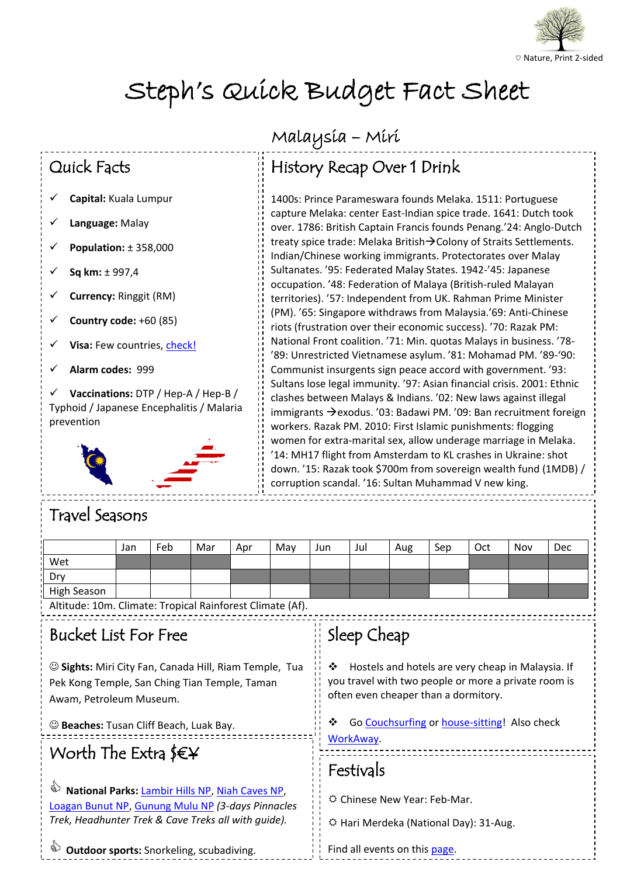

# Steph's Quick Budget Fact Sheet

#### Quick Facts

- **Capital:** Kuala Lumpur
- **Language:** Malay
- **Population:** ± 358,000
- **Sq km:** ± 997,4
- **Currency:** Ringgit (RM)
- **Country code:** +60 (85)
- **Visa:** Few countries, [check!](http://www.imi.gov.my/index.php/en/visa/visa-requirement-by-country.html)
- **Alarm codes:** 999

**Vaccinations:** DTP / Hep-A / Hep-B / Typhoid / Japanese Encephalitis / Malaria prevention



## Malaysia – Miri

## History Recap Over 1 Drink

 capture Melaka: center East-Indian spice trade. 1641: Dutch took treaty spice trade: Melaka British→Colony of Straits Settlemen<br>Indian/Chinese working immigrants. Protectorates over Malay occupation. '48: Federation of Malaya (British-ruled Malayan riots (frustration over their economic success). '70: Razak PM: '89: Unrestricted Vietnamese asylum. '81: Mohamad PM. '89-'90: clashes between Malays & Indians. '02: New laws against illegal workers. Razak PM. 2010: First islamic punishments: nogging<br>women for extra-marital sex, allow underage marriage in Melaka. down. '15: Razak took \$700m from sovereign wealth fund (1MDB) / 1400s: Prince Parameswara founds Melaka. 1511: Portuguese over. 1786: British Captain Francis founds Penang.'24: Anglo-Dutch treaty spice trade: Melaka British $\rightarrow$ Colony of Straits Settlements. Sultanates. '95: Federated Malay States. 1942-'45: Japanese territories). '57: Independent from UK. Rahman Prime Minister (PM). '65: Singapore withdraws from Malaysia.'69: Anti-Chinese National Front coalition. '71: Min. quotas Malays in business. '78- Communist insurgents sign peace accord with government. '93: Sultans lose legal immunity. '97: Asian financial crisis. 2001: Ethnic immigrants  $\rightarrow$  exodus. '03: Badawi PM. '09: Ban recruitment foreign workers. Razak PM. 2010: First Islamic punishments: flogging '14: MH17 flight from Amsterdam to KL crashes in Ukraine: shot corruption scandal. '16: Sultan Muhammad V new king.

### Travel Seasons

|             | Jan | Feb | Mar | Apr | May | Jun | Jul | Aug | Sep | Oct | Nov | Dec |
|-------------|-----|-----|-----|-----|-----|-----|-----|-----|-----|-----|-----|-----|
| Wet         |     |     |     |     |     |     |     |     |     |     |     |     |
| Dry         |     |     |     |     |     |     |     |     |     |     |     |     |
| High Season |     |     |     |     |     |     |     |     |     |     |     |     |

Ī

Altitude: 10m. Climate: Tropical Rainforest Climate (Af).

#### Bucket List For Free

 **Sights:** Miri City Fan, Canada Hill, Riam Temple, Tua Pek Kong Temple, San Ching Tian Temple, Taman Awam, Petroleum Museum.

**Beaches:** Tusan Cliff Beach, Luak Bay.

## Worth The Extra \$€¥

 *Trek, Headhunter Trek & Cave Treks all with guide).* **b** National Parks: [Lambir Hills NP,](https://sarawaktourism.com/attraction/lambir-hills-national-park/) [Niah Caves NP,](https://sarawaktourism.com/attraction/niah-national-park-miri/) [Loagan Bunut NP,](https://sarawaktourism.com/attraction/loagan-bunut-national-park/) [Gunung Mulu NP](http://mulupark.com/) *(3-days Pinnacles* 

#### $\frac{1}{1}$ Sleep Cheap

 often even cheaper than a dormitory. Hostels and hotels are very cheap in Malaysia. If you travel with two people or more a private room is

workAway. ❖ Go [Couchsurfing](http://www.couchsurfing.org/) or [house-sitting!](hhttp://suitcasestories.com/house-sitting/) Also check

## Festivals

Chinese New Year: Feb-Mar.

Hari Merdeka (National Day): 31-Aug.

**Dutdoor sports:** Snorkeling, scubadiving.

Find all events on this [page.](http://www.miriapp.com/events)